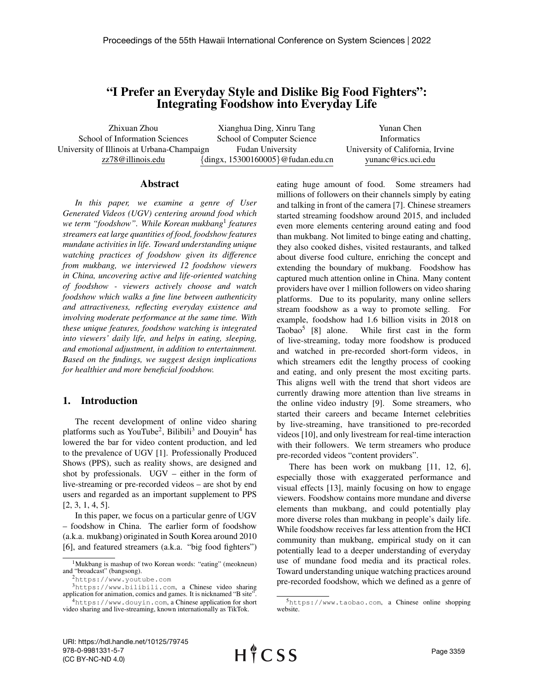# "I Prefer an Everyday Style and Dislike Big Food Fighters": Integrating Foodshow into Everyday Life

Zhixuan Zhou School of Information Sciences University of Illinois at Urbana-Champaign zz78@illinois.edu

Xianghua Ding, Xinru Tang School of Computer Science Fudan University {dingx, 15300160005}@fudan.edu.cn

Yunan Chen Informatics University of California, Irvine yunanc@ics.uci.edu

#### Abstract

*In this paper, we examine a genre of User Generated Videos (UGV) centering around food which we term "foodshow". While Korean mukbang*<sup>1</sup> *features streamers eat large quantities of food, foodshow features mundane activities in life. Toward understanding unique watching practices of foodshow given its difference from mukbang, we interviewed 12 foodshow viewers in China, uncovering active and life-oriented watching of foodshow - viewers actively choose and watch foodshow which walks a fine line between authenticity and attractiveness, reflecting everyday existence and involving moderate performance at the same time. With these unique features, foodshow watching is integrated into viewers' daily life, and helps in eating, sleeping, and emotional adjustment, in addition to entertainment. Based on the findings, we suggest design implications for healthier and more beneficial foodshow.*

#### 1. Introduction

The recent development of online video sharing platforms such as YouTube<sup>2</sup>, Bilibili<sup>3</sup> and Douyin<sup>4</sup> has lowered the bar for video content production, and led to the prevalence of UGV [1]. Professionally Produced Shows (PPS), such as reality shows, are designed and shot by professionals. UGV – either in the form of live-streaming or pre-recorded videos – are shot by end users and regarded as an important supplement to PPS [2, 3, 1, 4, 5].

In this paper, we focus on a particular genre of UGV – foodshow in China. The earlier form of foodshow (a.k.a. mukbang) originated in South Korea around 2010 [6], and featured streamers (a.k.a. "big food fighters")

video sharing and live-streaming, known internationally as TikTok.

eating huge amount of food. Some streamers had millions of followers on their channels simply by eating and talking in front of the camera [7]. Chinese streamers started streaming foodshow around 2015, and included even more elements centering around eating and food than mukbang. Not limited to binge eating and chatting, they also cooked dishes, visited restaurants, and talked about diverse food culture, enriching the concept and extending the boundary of mukbang. Foodshow has captured much attention online in China. Many content providers have over 1 million followers on video sharing platforms. Due to its popularity, many online sellers stream foodshow as a way to promote selling. For example, foodshow had 1.6 billion visits in 2018 on Taobao<sup>5</sup> [8] alone. While first cast in the form of live-streaming, today more foodshow is produced and watched in pre-recorded short-form videos, in which streamers edit the lengthy process of cooking and eating, and only present the most exciting parts. This aligns well with the trend that short videos are currently drawing more attention than live streams in the online video industry [9]. Some streamers, who started their careers and became Internet celebrities by live-streaming, have transitioned to pre-recorded videos [10], and only livestream for real-time interaction with their followers. We term streamers who produce pre-recorded videos "content providers".

There has been work on mukbang [11, 12, 6], especially those with exaggerated performance and visual effects [13], mainly focusing on how to engage viewers. Foodshow contains more mundane and diverse elements than mukbang, and could potentially play more diverse roles than mukbang in people's daily life. While foodshow receives far less attention from the HCI community than mukbang, empirical study on it can potentially lead to a deeper understanding of everyday use of mundane food media and its practical roles. Toward understanding unique watching practices around pre-recorded foodshow, which we defined as a genre of

<sup>1</sup>Mukbang is mashup of two Korean words: "eating" (meokneun) and "broadcast" (bangsong).

<sup>2</sup>https://www.youtube.com

<sup>3</sup>https://www.bilibili.com, a Chinese video sharing application for animation, comics and games. It is nicknamed "B site". <sup>4</sup>https://www.douyin.com, a Chinese application for short

<sup>5</sup>https://www.taobao.com, a Chinese online shopping website.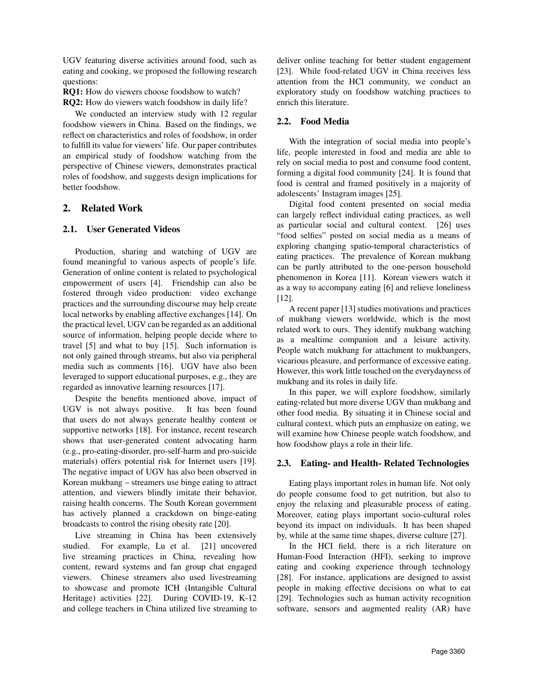UGV featuring diverse activities around food, such as eating and cooking, we proposed the following research questions:

RQ1: How do viewers choose foodshow to watch?

RQ2: How do viewers watch foodshow in daily life?

We conducted an interview study with 12 regular foodshow viewers in China. Based on the findings, we reflect on characteristics and roles of foodshow, in order to fulfill its value for viewers' life. Our paper contributes an empirical study of foodshow watching from the perspective of Chinese viewers, demonstrates practical roles of foodshow, and suggests design implications for better foodshow.

## 2. Related Work

## 2.1. User Generated Videos

Production, sharing and watching of UGV are found meaningful to various aspects of people's life. Generation of online content is related to psychological empowerment of users [4]. Friendship can also be fostered through video production: video exchange practices and the surrounding discourse may help create local networks by enabling affective exchanges [14]. On the practical level, UGV can be regarded as an additional source of information, helping people decide where to travel [5] and what to buy [15]. Such information is not only gained through streams, but also via peripheral media such as comments [16]. UGV have also been leveraged to support educational purposes, e.g., they are regarded as innovative learning resources [17].

Despite the benefits mentioned above, impact of UGV is not always positive. It has been found that users do not always generate healthy content or supportive networks [18]. For instance, recent research shows that user-generated content advocating harm (e.g., pro-eating-disorder, pro-self-harm and pro-suicide materials) offers potential risk for Internet users [19]. The negative impact of UGV has also been observed in Korean mukbang – streamers use binge eating to attract attention, and viewers blindly imitate their behavior, raising health concerns. The South Korean government has actively planned a crackdown on binge-eating broadcasts to control the rising obesity rate [20].

Live streaming in China has been extensively studied. For example, Lu et al. [21] uncovered live streaming practices in China, revealing how content, reward systems and fan group chat engaged viewers. Chinese streamers also used livestreaming to showcase and promote ICH (Intangible Cultural Heritage) activities [22]. During COVID-19, K-12 and college teachers in China utilized live streaming to

deliver online teaching for better student engagement [23]. While food-related UGV in China receives less attention from the HCI community, we conduct an exploratory study on foodshow watching practices to enrich this literature.

## 2.2. Food Media

With the integration of social media into people's life, people interested in food and media are able to rely on social media to post and consume food content, forming a digital food community [24]. It is found that food is central and framed positively in a majority of adolescents' Instagram images [25].

Digital food content presented on social media can largely reflect individual eating practices, as well as particular social and cultural context. [26] uses "food selfies" posted on social media as a means of exploring changing spatio-temporal characteristics of eating practices. The prevalence of Korean mukbang can be partly attributed to the one-person household phenomenon in Korea [11]. Korean viewers watch it as a way to accompany eating [6] and relieve loneliness [12].

A recent paper [13] studies motivations and practices of mukbang viewers worldwide, which is the most related work to ours. They identify mukbang watching as a mealtime companion and a leisure activity. People watch mukbang for attachment to mukbangers, vicarious pleasure, and performance of excessive eating. However, this work little touched on the everydayness of mukbang and its roles in daily life.

In this paper, we will explore foodshow, similarly eating-related but more diverse UGV than mukbang and other food media. By situating it in Chinese social and cultural context, which puts an emphasize on eating, we will examine how Chinese people watch foodshow, and how foodshow plays a role in their life.

## 2.3. Eating- and Health- Related Technologies

Eating plays important roles in human life. Not only do people consume food to get nutrition, but also to enjoy the relaxing and pleasurable process of eating. Moreover, eating plays important socio-cultural roles beyond its impact on individuals. It has been shaped by, while at the same time shapes, diverse culture [27].

In the HCI field, there is a rich literature on Human-Food Interaction (HFI), seeking to improve eating and cooking experience through technology [28]. For instance, applications are designed to assist people in making effective decisions on what to eat [29]. Technologies such as human activity recognition software, sensors and augmented reality (AR) have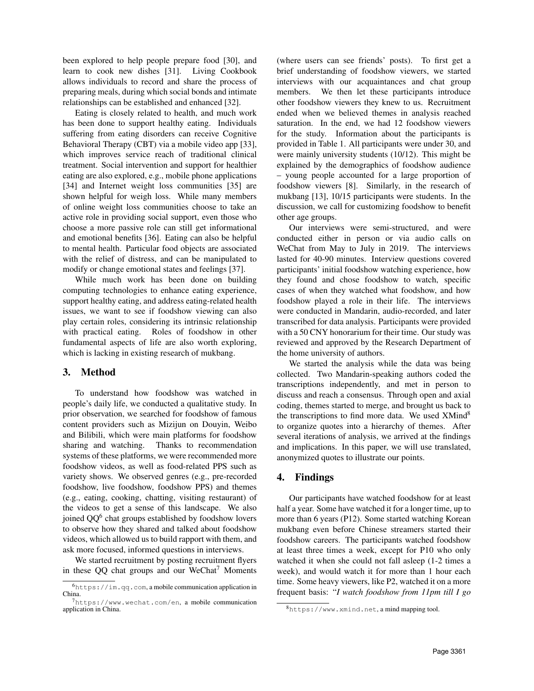been explored to help people prepare food [30], and learn to cook new dishes [31]. Living Cookbook allows individuals to record and share the process of preparing meals, during which social bonds and intimate relationships can be established and enhanced [32].

Eating is closely related to health, and much work has been done to support healthy eating. Individuals suffering from eating disorders can receive Cognitive Behavioral Therapy (CBT) via a mobile video app [33], which improves service reach of traditional clinical treatment. Social intervention and support for healthier eating are also explored, e.g., mobile phone applications [34] and Internet weight loss communities [35] are shown helpful for weigh loss. While many members of online weight loss communities choose to take an active role in providing social support, even those who choose a more passive role can still get informational and emotional benefits [36]. Eating can also be helpful to mental health. Particular food objects are associated with the relief of distress, and can be manipulated to modify or change emotional states and feelings [37].

While much work has been done on building computing technologies to enhance eating experience, support healthy eating, and address eating-related health issues, we want to see if foodshow viewing can also play certain roles, considering its intrinsic relationship with practical eating. Roles of foodshow in other fundamental aspects of life are also worth exploring, which is lacking in existing research of mukbang.

### 3. Method

To understand how foodshow was watched in people's daily life, we conducted a qualitative study. In prior observation, we searched for foodshow of famous content providers such as Mizijun on Douyin, Weibo and Bilibili, which were main platforms for foodshow sharing and watching. Thanks to recommendation systems of these platforms, we were recommended more foodshow videos, as well as food-related PPS such as variety shows. We observed genres (e.g., pre-recorded foodshow, live foodshow, foodshow PPS) and themes (e.g., eating, cooking, chatting, visiting restaurant) of the videos to get a sense of this landscape. We also joined QQ<sup>6</sup> chat groups established by foodshow lovers to observe how they shared and talked about foodshow videos, which allowed us to build rapport with them, and ask more focused, informed questions in interviews.

We started recruitment by posting recruitment flyers in these  $QQ$  chat groups and our WeChat<sup>7</sup> Moments

(where users can see friends' posts). To first get a brief understanding of foodshow viewers, we started interviews with our acquaintances and chat group members. We then let these participants introduce other foodshow viewers they knew to us. Recruitment ended when we believed themes in analysis reached saturation. In the end, we had 12 foodshow viewers for the study. Information about the participants is provided in Table 1. All participants were under 30, and were mainly university students (10/12). This might be explained by the demographics of foodshow audience – young people accounted for a large proportion of foodshow viewers [8]. Similarly, in the research of mukbang [13], 10/15 participants were students. In the discussion, we call for customizing foodshow to benefit other age groups.

Our interviews were semi-structured, and were conducted either in person or via audio calls on WeChat from May to July in 2019. The interviews lasted for 40-90 minutes. Interview questions covered participants' initial foodshow watching experience, how they found and chose foodshow to watch, specific cases of when they watched what foodshow, and how foodshow played a role in their life. The interviews were conducted in Mandarin, audio-recorded, and later transcribed for data analysis. Participants were provided with a 50 CNY honorarium for their time. Our study was reviewed and approved by the Research Department of the home university of authors.

We started the analysis while the data was being collected. Two Mandarin-speaking authors coded the transcriptions independently, and met in person to discuss and reach a consensus. Through open and axial coding, themes started to merge, and brought us back to the transcriptions to find more data. We used XMind<sup>8</sup> to organize quotes into a hierarchy of themes. After several iterations of analysis, we arrived at the findings and implications. In this paper, we will use translated, anonymized quotes to illustrate our points.

### 4. Findings

Our participants have watched foodshow for at least half a year. Some have watched it for a longer time, up to more than 6 years (P12). Some started watching Korean mukbang even before Chinese streamers started their foodshow careers. The participants watched foodshow at least three times a week, except for P10 who only watched it when she could not fall asleep (1-2 times a week), and would watch it for more than 1 hour each time. Some heavy viewers, like P2, watched it on a more frequent basis: "*I watch foodshow from 11pm till I go*

 $<sup>6</sup>$ https://im.qq.com, a mobile communication application in</sup> China.

<sup>7</sup>https://www.wechat.com/en, a mobile communication application in China.

<sup>8</sup>https://www.xmind.net, a mind mapping tool.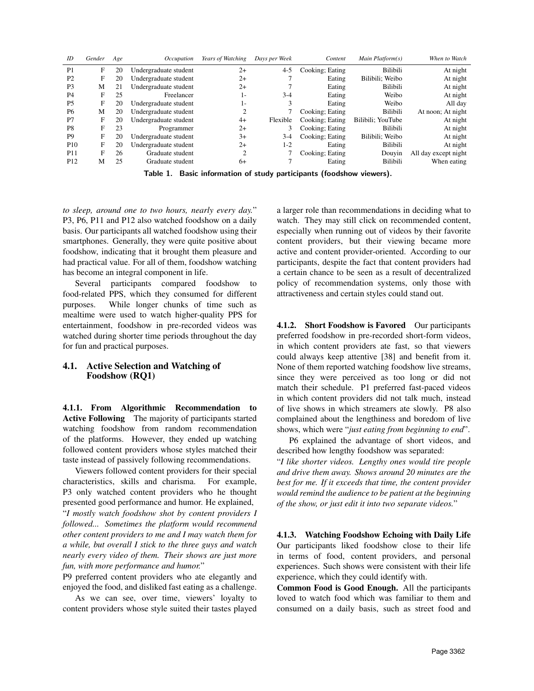| ID              | Gender | Age | Occupation            | Years of Watching | Days per Week | Content         | Main Platform(s)  | When to Watch        |
|-----------------|--------|-----|-----------------------|-------------------|---------------|-----------------|-------------------|----------------------|
| P <sub>1</sub>  | F      | 20  | Undergraduate student | $2+$              | $4 - 5$       | Cooking; Eating | Bilibili          | At night             |
| P <sub>2</sub>  | F      | 20  | Undergraduate student | $2+$              |               | Eating          | Bilibili; Weibo   | At night             |
| P <sub>3</sub>  | М      | 21  | Undergraduate student | $2+$              |               | Eating          | Bilibili          | At night             |
| P <sub>4</sub>  | F      | 25  | Freelancer            | ı-                | $3-4$         | Eating          | Weibo             | At night             |
| P <sub>5</sub>  | F      | 20  | Undergraduate student | l-                |               | Eating          | Weibo             | All day              |
| P <sub>6</sub>  | М      | 20  | Undergraduate student |                   |               | Cooking; Eating | Bilibili          | At noon; At night    |
| P7              | F      | 20  | Undergraduate student | $4+$              | Flexible      | Cooking; Eating | Bilibili: YouTube | At night             |
| P <sub>8</sub>  | F      | 23  | Programmer            | $2+$              | 3             | Cooking; Eating | Bilibili          | At night             |
| P <sub>9</sub>  | F      | 20  | Undergraduate student | $3+$              | $3-4$         | Cooking; Eating | Bilibili: Weibo   | At night             |
| P <sub>10</sub> | F      | 20  | Undergraduate student | $2+$              | 1-2           | Eating          | Bilibili          | At night             |
| P <sub>11</sub> | F      | 26  | Graduate student      |                   |               | Cooking; Eating | Douyin            | All day except night |
| P <sub>12</sub> | М      | 25  | Graduate student      | 6+                |               | Eating          | Bilibili          | When eating          |
|                 |        |     |                       |                   |               |                 |                   |                      |

Table 1. Basic information of study participants (foodshow viewers).

*to sleep, around one to two hours, nearly every day.*" P3, P6, P11 and P12 also watched foodshow on a daily basis. Our participants all watched foodshow using their smartphones. Generally, they were quite positive about foodshow, indicating that it brought them pleasure and had practical value. For all of them, foodshow watching has become an integral component in life.

Several participants compared foodshow to food-related PPS, which they consumed for different purposes. While longer chunks of time such as mealtime were used to watch higher-quality PPS for entertainment, foodshow in pre-recorded videos was watched during shorter time periods throughout the day for fun and practical purposes.

### 4.1. Active Selection and Watching of Foodshow (RQ1)

4.1.1. From Algorithmic Recommendation to Active Following The majority of participants started watching foodshow from random recommendation of the platforms. However, they ended up watching followed content providers whose styles matched their taste instead of passively following recommendations.

Viewers followed content providers for their special characteristics, skills and charisma. For example, P3 only watched content providers who he thought presented good performance and humor. He explained, "*I mostly watch foodshow shot by content providers I followed... Sometimes the platform would recommend other content providers to me and I may watch them for a while, but overall I stick to the three guys and watch nearly every video of them. Their shows are just more fun, with more performance and humor.*"

P9 preferred content providers who ate elegantly and enjoyed the food, and disliked fast eating as a challenge.

As we can see, over time, viewers' loyalty to content providers whose style suited their tastes played

a larger role than recommendations in deciding what to watch. They may still click on recommended content, especially when running out of videos by their favorite content providers, but their viewing became more active and content provider-oriented. According to our participants, despite the fact that content providers had a certain chance to be seen as a result of decentralized policy of recommendation systems, only those with attractiveness and certain styles could stand out.

4.1.2. Short Foodshow is Favored Our participants preferred foodshow in pre-recorded short-form videos, in which content providers ate fast, so that viewers could always keep attentive [38] and benefit from it. None of them reported watching foodshow live streams, since they were perceived as too long or did not match their schedule. P1 preferred fast-paced videos in which content providers did not talk much, instead of live shows in which streamers ate slowly. P8 also complained about the lengthiness and boredom of live shows, which were "*just eating from beginning to end*".

P6 explained the advantage of short videos, and described how lengthy foodshow was separated:

"*I like shorter videos. Lengthy ones would tire people and drive them away. Shows around 20 minutes are the best for me. If it exceeds that time, the content provider would remind the audience to be patient at the beginning of the show, or just edit it into two separate videos.*"

4.1.3. Watching Foodshow Echoing with Daily Life Our participants liked foodshow close to their life in terms of food, content providers, and personal experiences. Such shows were consistent with their life experience, which they could identify with.

Common Food is Good Enough. All the participants loved to watch food which was familiar to them and consumed on a daily basis, such as street food and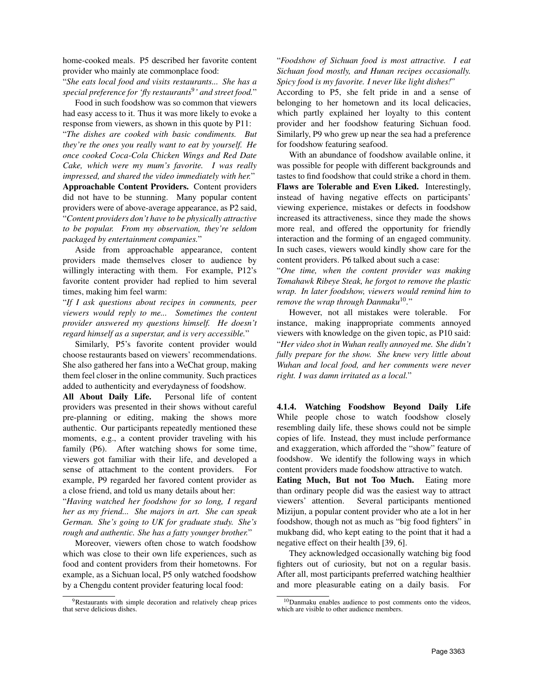home-cooked meals. P5 described her favorite content provider who mainly ate commonplace food:

"*She eats local food and visits restaurants... She has a special preference for 'fly restaurants*<sup>9</sup> *' and street food.*"

Food in such foodshow was so common that viewers had easy access to it. Thus it was more likely to evoke a response from viewers, as shown in this quote by P11: "*The dishes are cooked with basic condiments. But they're the ones you really want to eat by yourself. He once cooked Coca-Cola Chicken Wings and Red Date Cake, which were my mum's favorite. I was really impressed, and shared the video immediately with her.*" Approachable Content Providers. Content providers did not have to be stunning. Many popular content providers were of above-average appearance, as P2 said, "*Content providers don't have to be physically attractive to be popular. From my observation, they're seldom packaged by entertainment companies.*"

Aside from approachable appearance, content providers made themselves closer to audience by willingly interacting with them. For example, P12's favorite content provider had replied to him several times, making him feel warm:

"*If I ask questions about recipes in comments, peer viewers would reply to me... Sometimes the content provider answered my questions himself. He doesn't regard himself as a superstar, and is very accessible.*"

Similarly, P5's favorite content provider would choose restaurants based on viewers' recommendations. She also gathered her fans into a WeChat group, making them feel closer in the online community. Such practices added to authenticity and everydayness of foodshow.

All About Daily Life. Personal life of content providers was presented in their shows without careful pre-planning or editing, making the shows more authentic. Our participants repeatedly mentioned these moments, e.g., a content provider traveling with his family (P6). After watching shows for some time, viewers got familiar with their life, and developed a sense of attachment to the content providers. For example, P9 regarded her favored content provider as a close friend, and told us many details about her:

"*Having watched her foodshow for so long, I regard her as my friend... She majors in art. She can speak German. She's going to UK for graduate study. She's rough and authentic. She has a fatty younger brother.*"

Moreover, viewers often chose to watch foodshow which was close to their own life experiences, such as food and content providers from their hometowns. For example, as a Sichuan local, P5 only watched foodshow by a Chengdu content provider featuring local food:

"*Foodshow of Sichuan food is most attractive. I eat Sichuan food mostly, and Hunan recipes occasionally. Spicy food is my favorite. I never like light dishes!*"

According to P5, she felt pride in and a sense of belonging to her hometown and its local delicacies, which partly explained her loyalty to this content provider and her foodshow featuring Sichuan food. Similarly, P9 who grew up near the sea had a preference for foodshow featuring seafood.

With an abundance of foodshow available online, it was possible for people with different backgrounds and tastes to find foodshow that could strike a chord in them. Flaws are Tolerable and Even Liked. Interestingly, instead of having negative effects on participants' viewing experience, mistakes or defects in foodshow increased its attractiveness, since they made the shows more real, and offered the opportunity for friendly interaction and the forming of an engaged community. In such cases, viewers would kindly show care for the content providers. P6 talked about such a case:

"*One time, when the content provider was making Tomahawk Ribeye Steak, he forgot to remove the plastic wrap. In later foodshow, viewers would remind him to remove the wrap through Danmaku*<sup>10</sup> *.*"

However, not all mistakes were tolerable. For instance, making inappropriate comments annoyed viewers with knowledge on the given topic, as P10 said: "*Her video shot in Wuhan really annoyed me. She didn't fully prepare for the show. She knew very little about Wuhan and local food, and her comments were never right. I was damn irritated as a local.*"

4.1.4. Watching Foodshow Beyond Daily Life While people chose to watch foodshow closely resembling daily life, these shows could not be simple copies of life. Instead, they must include performance and exaggeration, which afforded the "show" feature of foodshow. We identify the following ways in which content providers made foodshow attractive to watch.

Eating Much, But not Too Much. Eating more than ordinary people did was the easiest way to attract viewers' attention. Several participants mentioned Mizijun, a popular content provider who ate a lot in her foodshow, though not as much as "big food fighters" in mukbang did, who kept eating to the point that it had a negative effect on their health [39, 6].

They acknowledged occasionally watching big food fighters out of curiosity, but not on a regular basis. After all, most participants preferred watching healthier and more pleasurable eating on a daily basis. For

<sup>9</sup>Restaurants with simple decoration and relatively cheap prices that serve delicious dishes.

<sup>10</sup>Danmaku enables audience to post comments onto the videos, which are visible to other audience members.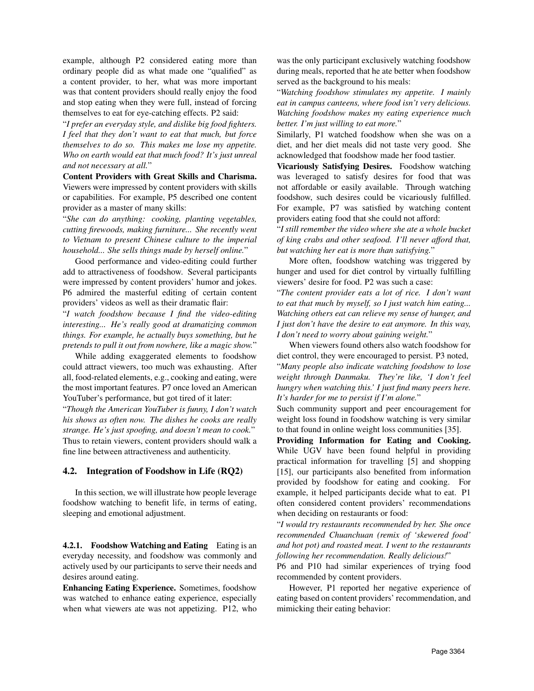example, although P2 considered eating more than ordinary people did as what made one "qualified" as a content provider, to her, what was more important was that content providers should really enjoy the food and stop eating when they were full, instead of forcing themselves to eat for eye-catching effects. P2 said:

"*I prefer an everyday style, and dislike big food fighters. I feel that they don't want to eat that much, but force themselves to do so. This makes me lose my appetite. Who on earth would eat that much food? It's just unreal and not necessary at all.*"

Content Providers with Great Skills and Charisma. Viewers were impressed by content providers with skills or capabilities. For example, P5 described one content provider as a master of many skills:

"*She can do anything: cooking, planting vegetables, cutting firewoods, making furniture... She recently went to Vietnam to present Chinese culture to the imperial household... She sells things made by herself online.*"

Good performance and video-editing could further add to attractiveness of foodshow. Several participants were impressed by content providers' humor and jokes. P6 admired the masterful editing of certain content providers' videos as well as their dramatic flair:

"*I watch foodshow because I find the video-editing interesting... He's really good at dramatizing common things. For example, he actually buys something, but he pretends to pull it out from nowhere, like a magic show.*"

While adding exaggerated elements to foodshow could attract viewers, too much was exhausting. After all, food-related elements, e.g., cooking and eating, were the most important features. P7 once loved an American YouTuber's performance, but got tired of it later:

"*Though the American YouTuber is funny, I don't watch his shows as often now. The dishes he cooks are really strange. He's just spoofing, and doesn't mean to cook.*" Thus to retain viewers, content providers should walk a fine line between attractiveness and authenticity.

#### 4.2. Integration of Foodshow in Life (RQ2)

In this section, we will illustrate how people leverage foodshow watching to benefit life, in terms of eating, sleeping and emotional adjustment.

4.2.1. Foodshow Watching and Eating Eating is an everyday necessity, and foodshow was commonly and actively used by our participants to serve their needs and desires around eating.

Enhancing Eating Experience. Sometimes, foodshow was watched to enhance eating experience, especially when what viewers ate was not appetizing. P12, who was the only participant exclusively watching foodshow during meals, reported that he ate better when foodshow served as the background to his meals:

"*Watching foodshow stimulates my appetite. I mainly eat in campus canteens, where food isn't very delicious. Watching foodshow makes my eating experience much better. I'm just willing to eat more.*"

Similarly, P1 watched foodshow when she was on a diet, and her diet meals did not taste very good. She acknowledged that foodshow made her food tastier.

Vicariously Satisfying Desires. Foodshow watching was leveraged to satisfy desires for food that was not affordable or easily available. Through watching foodshow, such desires could be vicariously fulfilled. For example, P7 was satisfied by watching content providers eating food that she could not afford:

"*I still remember the video where she ate a whole bucket of king crabs and other seafood. I'll never afford that, but watching her eat is more than satisfying.*"

More often, foodshow watching was triggered by hunger and used for diet control by virtually fulfilling viewers' desire for food. P2 was such a case:

"*The content provider eats a lot of rice. I don't want to eat that much by myself, so I just watch him eating... Watching others eat can relieve my sense of hunger, and I just don't have the desire to eat anymore. In this way, I don't need to worry about gaining weight.*"

When viewers found others also watch foodshow for diet control, they were encouraged to persist. P3 noted, "*Many people also indicate watching foodshow to lose weight through Danmaku. They're like, 'I don't feel hungry when watching this.' I just find many peers here. It's harder for me to persist if I'm alone.*"

Such community support and peer encouragement for weight loss found in foodshow watching is very similar to that found in online weight loss communities [35].

Providing Information for Eating and Cooking. While UGV have been found helpful in providing practical information for travelling [5] and shopping [15], our participants also benefited from information provided by foodshow for eating and cooking. For example, it helped participants decide what to eat. P1 often considered content providers' recommendations when deciding on restaurants or food:

"*I would try restaurants recommended by her. She once recommended Chuanchuan (remix of 'skewered food' and hot pot) and roasted meat. I went to the restaurants following her recommendation. Really delicious!*"

P6 and P10 had similar experiences of trying food recommended by content providers.

However, P1 reported her negative experience of eating based on content providers' recommendation, and mimicking their eating behavior: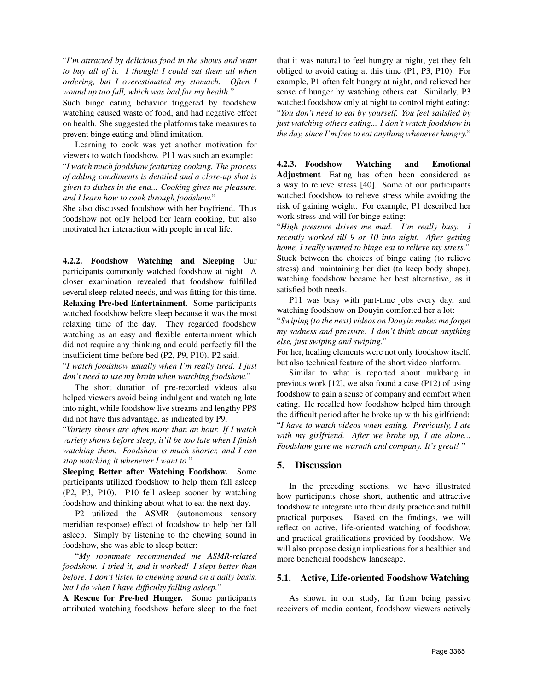"*I'm attracted by delicious food in the shows and want to buy all of it. I thought I could eat them all when ordering, but I overestimated my stomach. Often I wound up too full, which was bad for my health.*"

Such binge eating behavior triggered by foodshow watching caused waste of food, and had negative effect on health. She suggested the platforms take measures to prevent binge eating and blind imitation.

Learning to cook was yet another motivation for viewers to watch foodshow. P11 was such an example: "*I watch much foodshow featuring cooking. The process of adding condiments is detailed and a close-up shot is given to dishes in the end... Cooking gives me pleasure, and I learn how to cook through foodshow.*"

She also discussed foodshow with her boyfriend. Thus foodshow not only helped her learn cooking, but also motivated her interaction with people in real life.

4.2.2. Foodshow Watching and Sleeping Our participants commonly watched foodshow at night. A closer examination revealed that foodshow fulfilled several sleep-related needs, and was fitting for this time. Relaxing Pre-bed Entertainment. Some participants watched foodshow before sleep because it was the most relaxing time of the day. They regarded foodshow watching as an easy and flexible entertainment which did not require any thinking and could perfectly fill the insufficient time before bed (P2, P9, P10). P2 said,

"*I watch foodshow usually when I'm really tired. I just don't need to use my brain when watching foodshow.*"

The short duration of pre-recorded videos also helped viewers avoid being indulgent and watching late into night, while foodshow live streams and lengthy PPS did not have this advantage, as indicated by P9,

"*Variety shows are often more than an hour. If I watch variety shows before sleep, it'll be too late when I finish watching them. Foodshow is much shorter, and I can stop watching it whenever I want to.*"

Sleeping Better after Watching Foodshow. Some participants utilized foodshow to help them fall asleep (P2, P3, P10). P10 fell asleep sooner by watching foodshow and thinking about what to eat the next day.

P2 utilized the ASMR (autonomous sensory meridian response) effect of foodshow to help her fall asleep. Simply by listening to the chewing sound in foodshow, she was able to sleep better:

"*My roommate recommended me ASMR-related foodshow. I tried it, and it worked! I slept better than before. I don't listen to chewing sound on a daily basis, but I do when I have difficulty falling asleep.*"

A Rescue for Pre-bed Hunger. Some participants attributed watching foodshow before sleep to the fact

that it was natural to feel hungry at night, yet they felt obliged to avoid eating at this time (P1, P3, P10). For example, P1 often felt hungry at night, and relieved her sense of hunger by watching others eat. Similarly, P3 watched foodshow only at night to control night eating: "*You don't need to eat by yourself. You feel satisfied by just watching others eating... I don't watch foodshow in the day, since I'm free to eat anything whenever hungry.*"

4.2.3. Foodshow Watching and Emotional Adjustment Eating has often been considered as a way to relieve stress [40]. Some of our participants watched foodshow to relieve stress while avoiding the risk of gaining weight. For example, P1 described her work stress and will for binge eating:

"*High pressure drives me mad. I'm really busy. I recently worked till 9 or 10 into night. After getting home, I really wanted to binge eat to relieve my stress.*" Stuck between the choices of binge eating (to relieve stress) and maintaining her diet (to keep body shape), watching foodshow became her best alternative, as it satisfied both needs.

P11 was busy with part-time jobs every day, and watching foodshow on Douyin comforted her a lot: "*Swiping (to the next) videos on Douyin makes me forget my sadness and pressure. I don't think about anything else, just swiping and swiping.*"

For her, healing elements were not only foodshow itself, but also technical feature of the short video platform.

Similar to what is reported about mukbang in previous work [12], we also found a case (P12) of using foodshow to gain a sense of company and comfort when eating. He recalled how foodshow helped him through the difficult period after he broke up with his girlfriend: "*I have to watch videos when eating. Previously, I ate with my girlfriend. After we broke up, I ate alone... Foodshow gave me warmth and company. It's great!* "

### 5. Discussion

In the preceding sections, we have illustrated how participants chose short, authentic and attractive foodshow to integrate into their daily practice and fulfill practical purposes. Based on the findings, we will reflect on active, life-oriented watching of foodshow, and practical gratifications provided by foodshow. We will also propose design implications for a healthier and more beneficial foodshow landscape.

#### 5.1. Active, Life-oriented Foodshow Watching

As shown in our study, far from being passive receivers of media content, foodshow viewers actively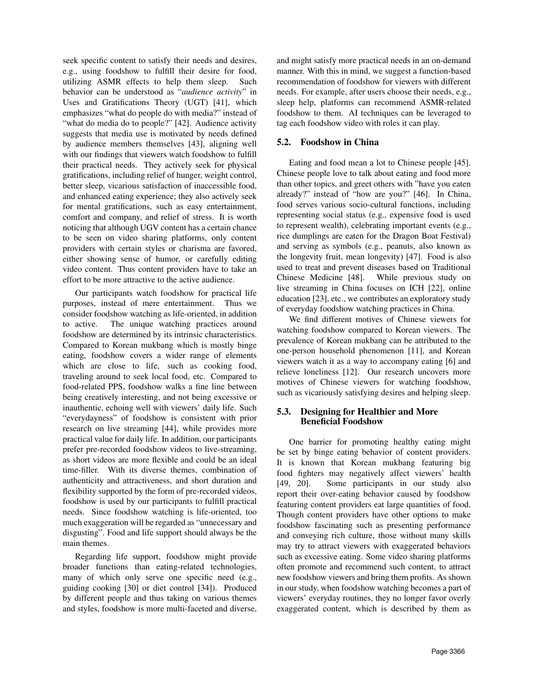seek specific content to satisfy their needs and desires, e.g., using foodshow to fulfill their desire for food, utilizing ASMR effects to help them sleep. Such behavior can be understood as "*audience activity*" in Uses and Gratifications Theory (UGT) [41], which emphasizes "what do people do with media?" instead of "what do media do to people?" [42]. Audience activity suggests that media use is motivated by needs defined by audience members themselves [43], aligning well with our findings that viewers watch foodshow to fulfill their practical needs. They actively seek for physical gratifications, including relief of hunger, weight control, better sleep, vicarious satisfaction of inaccessible food, and enhanced eating experience; they also actively seek for mental gratifications, such as easy entertainment, comfort and company, and relief of stress. It is worth noticing that although UGV content has a certain chance to be seen on video sharing platforms, only content providers with certain styles or charisma are favored, either showing sense of humor, or carefully editing video content. Thus content providers have to take an effort to be more attractive to the active audience.

Our participants watch foodshow for practical life purposes, instead of mere entertainment. Thus we consider foodshow watching as life-oriented, in addition to active. The unique watching practices around foodshow are determined by its intrinsic characteristics. Compared to Korean mukbang which is mostly binge eating, foodshow covers a wider range of elements which are close to life, such as cooking food, traveling around to seek local food, etc. Compared to food-related PPS, foodshow walks a fine line between being creatively interesting, and not being excessive or inauthentic, echoing well with viewers' daily life. Such "everydayness" of foodshow is consistent with prior research on live streaming [44], while provides more practical value for daily life. In addition, our participants prefer pre-recorded foodshow videos to live-streaming, as short videos are more flexible and could be an ideal time-filler. With its diverse themes, combination of authenticity and attractiveness, and short duration and flexibility supported by the form of pre-recorded videos, foodshow is used by our participants to fulfill practical needs. Since foodshow watching is life-oriented, too much exaggeration will be regarded as "unnecessary and disgusting". Food and life support should always be the main themes.

Regarding life support, foodshow might provide broader functions than eating-related technologies, many of which only serve one specific need (e.g., guiding cooking [30] or diet control [34]). Produced by different people and thus taking on various themes and styles, foodshow is more multi-faceted and diverse, and might satisfy more practical needs in an on-demand manner. With this in mind, we suggest a function-based recommendation of foodshow for viewers with different needs. For example, after users choose their needs, e.g., sleep help, platforms can recommend ASMR-related foodshow to them. AI techniques can be leveraged to tag each foodshow video with roles it can play.

### 5.2. Foodshow in China

Eating and food mean a lot to Chinese people [45]. Chinese people love to talk about eating and food more than other topics, and greet others with "have you eaten already?" instead of "how are you?" [46]. In China, food serves various socio-cultural functions, including representing social status (e.g., expensive food is used to represent wealth), celebrating important events (e.g., rice dumplings are eaten for the Dragon Boat Festival) and serving as symbols (e.g., peanuts, also known as the longevity fruit, mean longevity) [47]. Food is also used to treat and prevent diseases based on Traditional Chinese Medicine [48]. While previous study on live streaming in China focuses on ICH [22], online education [23], etc., we contributes an exploratory study of everyday foodshow watching practices in China.

We find different motives of Chinese viewers for watching foodshow compared to Korean viewers. The prevalence of Korean mukbang can be attributed to the one-person household phenomenon [11], and Korean viewers watch it as a way to accompany eating [6] and relieve loneliness [12]. Our research uncovers more motives of Chinese viewers for watching foodshow, such as vicariously satisfying desires and helping sleep.

### 5.3. Designing for Healthier and More Beneficial Foodshow

One barrier for promoting healthy eating might be set by binge eating behavior of content providers. It is known that Korean mukbang featuring big food fighters may negatively affect viewers' health [49, 20]. Some participants in our study also report their over-eating behavior caused by foodshow featuring content providers eat large quantities of food. Though content providers have other options to make foodshow fascinating such as presenting performance and conveying rich culture, those without many skills may try to attract viewers with exaggerated behaviors such as excessive eating. Some video sharing platforms often promote and recommend such content, to attract new foodshow viewers and bring them profits. As shown in our study, when foodshow watching becomes a part of viewers' everyday routines, they no longer favor overly exaggerated content, which is described by them as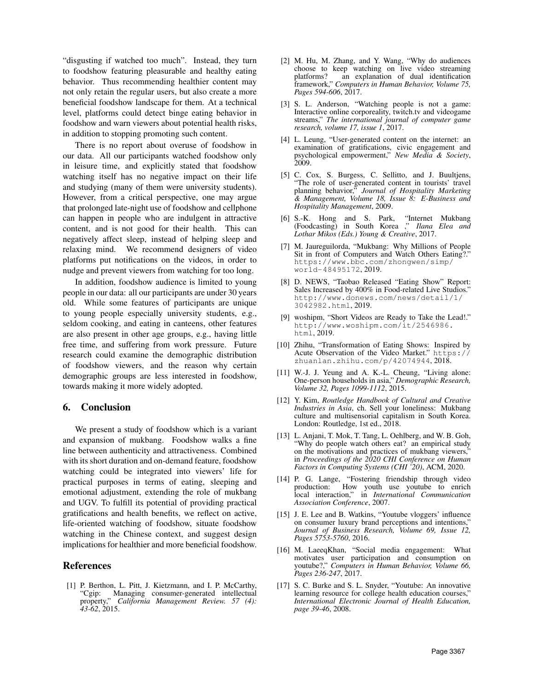"disgusting if watched too much". Instead, they turn to foodshow featuring pleasurable and healthy eating behavior. Thus recommending healthier content may not only retain the regular users, but also create a more beneficial foodshow landscape for them. At a technical level, platforms could detect binge eating behavior in foodshow and warn viewers about potential health risks, in addition to stopping promoting such content.

There is no report about overuse of foodshow in our data. All our participants watched foodshow only in leisure time, and explicitly stated that foodshow watching itself has no negative impact on their life and studying (many of them were university students). However, from a critical perspective, one may argue that prolonged late-night use of foodshow and cellphone can happen in people who are indulgent in attractive content, and is not good for their health. This can negatively affect sleep, instead of helping sleep and relaxing mind. We recommend designers of video platforms put notifications on the videos, in order to nudge and prevent viewers from watching for too long.

In addition, foodshow audience is limited to young people in our data: all our participants are under 30 years old. While some features of participants are unique to young people especially university students, e.g., seldom cooking, and eating in canteens, other features are also present in other age groups, e.g., having little free time, and suffering from work pressure. Future research could examine the demographic distribution of foodshow viewers, and the reason why certain demographic groups are less interested in foodshow, towards making it more widely adopted.

#### 6. Conclusion

We present a study of foodshow which is a variant and expansion of mukbang. Foodshow walks a fine line between authenticity and attractiveness. Combined with its short duration and on-demand feature, foodshow watching could be integrated into viewers' life for practical purposes in terms of eating, sleeping and emotional adjustment, extending the role of mukbang and UGV. To fulfill its potential of providing practical gratifications and health benefits, we reflect on active, life-oriented watching of foodshow, situate foodshow watching in the Chinese context, and suggest design implications for healthier and more beneficial foodshow.

#### References

[1] P. Berthon, L. Pitt, J. Kietzmann, and I. P. McCarthy, "Cgip: Managing consumer-generated intellectual property," *California Management Review. 57 (4): 43-62*, 2015.

- [2] M. Hu, M. Zhang, and Y. Wang, "Why do audiences choose to keep watching on live video streaming platforms? an explanation of dual identification framework," *Computers in Human Behavior, Volume 75, Pages 594-606*, 2017.
- [3] S. L. Anderson, "Watching people is not a game: Interactive online corporeality, twitch.tv and videogame streams," *The international journal of computer game research, volume 17, issue 1*, 2017.
- [4] L. Leung, "User-generated content on the internet: an examination of gratifications, civic engagement and psychological empowerment," *New Media & Society*, 2009.
- [5] C. Cox, S. Burgess, C. Sellitto, and J. Buultjens, "The role of user-generated content in tourists' travel planning behavior," *Journal of Hospitality Marketing & Management, Volume 18, Issue 8: E-Business and Hospitality Management*, 2009.
- [6] S.-K. Hong and S. Park, "Internet Mukbang (Foodcasting) in South Korea ," *Ilana Elea and Lothar Mikos (Eds.) Young & Creative*, 2017.
- [7] M. Jaureguilorda, "Mukbang: Why Millions of People Sit in front of Computers and Watch Others Eating?." https://www.bbc.com/zhongwen/simp/ world-48495172, 2019.
- [8] D. NEWS, "Taobao Released "Eating Show" Report: Sales Increased by 400% in Food-related Live Studios." http://www.donews.com/news/detail/1/ 3042982.html, 2019.
- [9] woshipm, "Short Videos are Ready to Take the Lead!." http://www.woshipm.com/it/2546986. html, 2019.
- [10] Zhihu, "Transformation of Eating Shows: Inspired by Acute Observation of the Video Market." https:// zhuanlan.zhihu.com/p/42074944, 2018.
- [11] W.-J. J. Yeung and A. K.-L. Cheung, "Living alone: One-person households in asia," *Demographic Research, Volume 32, Pages 1099-1112*, 2015.
- [12] Y. Kim, *Routledge Handbook of Cultural and Creative Industries in Asia*, ch. Sell your loneliness: Mukbang culture and multisensorial capitalism in South Korea. London: Routledge, 1st ed., 2018.
- [13] L. Anjani, T. Mok, T. Tang, L. Oehlberg, and W. B. Goh, "Why do people watch others eat? an empirical study on the motivations and practices of mukbang viewers, in *Proceedings of the 2020 CHI Conference on Human Factors in Computing Systems (CHI '20)*, ACM, 2020.
- [14] P. G. Lange, "Fostering friendship through video production: How youth use youtube to enrich local interaction," in *International Communication Association Conference*, 2007.
- [15] J. E. Lee and B. Watkins, "Youtube vloggers' influence on consumer luxury brand perceptions and intentions," *Journal of Business Research, Volume 69, Issue 12, Pages 5753-5760*, 2016.
- [16] M. LaeeqKhan, "Social media engagement: What motivates user participation and consumption on youtube?," *Computers in Human Behavior, Volume 66, Pages 236-247*, 2017.
- [17] S. C. Burke and S. L. Snyder, "Youtube: An innovative learning resource for college health education courses, *International Electronic Journal of Health Education, page 39-46*, 2008.